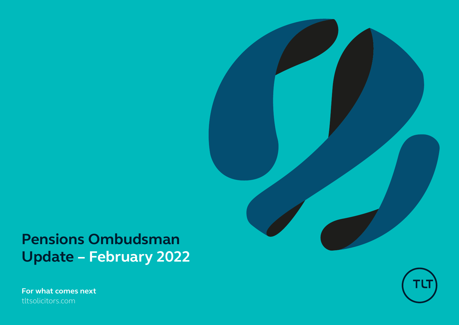# **Pensions Ombudsman Update – February 2022**

**For what comes next** tltsolicitors.com



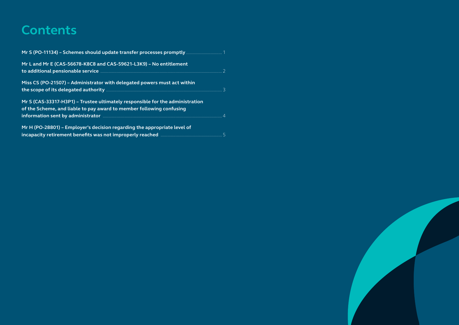### **Contents**

| Mr S (PO-11134) - Schemes should update transfer processes promptly  1        |  |
|-------------------------------------------------------------------------------|--|
| Mr L and Mr E (CAS-56678-K8C8 and CAS-59621-L3K9) - No entitlement            |  |
|                                                                               |  |
| Miss CS (PO-21507) - Administrator with delegated powers must act within      |  |
|                                                                               |  |
| Mr S (CAS-33317-H3P1) - Trustee ultimately responsible for the administration |  |
| of the Scheme, and liable to pay award to member following confusing          |  |
|                                                                               |  |
| Mr H (PO-28801) - Employer's decision regarding the appropriate level of      |  |
|                                                                               |  |

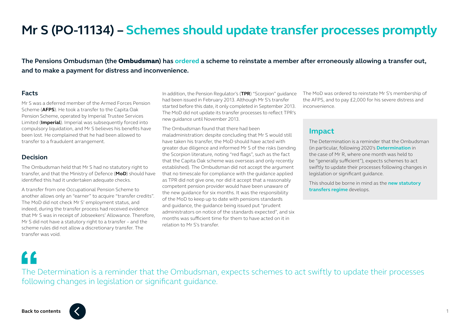# <span id="page-2-0"></span>**Mr S (PO-11134) – Schemes should update transfer processes promptly**

**The Pensions Ombudsman (the** Ombudsman**) has [ordered](https://www.pensions-ombudsman.org.uk/sites/default/files/decisions/PO-11134.pdf) a scheme to reinstate a member after erroneously allowing a transfer out, and to make a payment for distress and inconvenience.**

#### **Facts**

Mr S was a deferred member of the Armed Forces Pension Scheme (**AFPS**). He took a transfer to the Capita Oak Pension Scheme, operated by Imperial Trustee Services Limited (**Imperial**). Imperial was subsequently forced into compulsory liquidation, and Mr S believes his benefits have been lost. He complained that he had been allowed to transfer to a fraudulent arrangement.

#### **Decision**

The Ombudsman held that Mr S had no statutory right to transfer, and that the Ministry of Defence (**MoD**) should have identified this had it undertaken adequate checks.

A transfer from one Occupational Pension Scheme to another allows only an "earner" to acquire "transfer credits". The MoD did not check Mr S' employment status, and indeed, during the transfer process had received evidence that Mr S was in receipt of Jobseekers' Allowance. Therefore, Mr S did not have a statutory right to a transfer – and the scheme rules did not allow a discretionary transfer. The transfer was void.

In addition, the Pension Regulator's (**TPR**) "Scorpion" guidance had been issued in February 2013. Although Mr S's transfer started before this date, it only completed in September 2013. The MoD did not update its transfer processes to reflect TPR's new guidance until November 2013.

The Ombudsman found that there had been maladministration: despite concluding that Mr S would still have taken his transfer, the MoD should have acted with greater due diligence and informed Mr S of the risks (sending the Scorpion literature, noting "red flags", such as the fact that the Capita Oak scheme was overseas and only recently established). The Ombudsman did not accept the argument that no timescale for compliance with the guidance applied as TPR did not give one, nor did it accept that a reasonably competent pension provider would have been unaware of the new guidance for six months. It was the responsibility of the MoD to keep up to date with pensions standards and guidance, the guidance being issued put "prudent administrators on notice of the standards expected", and six months was sufficient time for them to have acted on it in relation to Mr S's transfer.

The MoD was ordered to reinstate Mr S's membership of the AFPS, and to pay £2,000 for his severe distress and inconvenience.

### **Impact**

The Determination is a reminder that the Ombudsman (in particular, following 2020's **[Determination](https://www.pensions-ombudsman.org.uk/sites/default/files/decisions/PO-24554.pdf)** in the case of Mr R, where one month was held to be "generally sufficient"), expects schemes to act swiftly to update their processes following changes in legislation or significant guidance.

This should be borne in mind as the **[new statutory](https://www.tltsolicitors.com/insights-and-events/insight/new-statutory-transfer-conditions-in-fight-against-pension-scams/)  [transfers regime](https://www.tltsolicitors.com/insights-and-events/insight/new-statutory-transfer-conditions-in-fight-against-pension-scams/)** develops.

The Determination is a reminder that the Ombudsman, expects schemes to act swiftly to update their processes following changes in legislation or significant guidance.

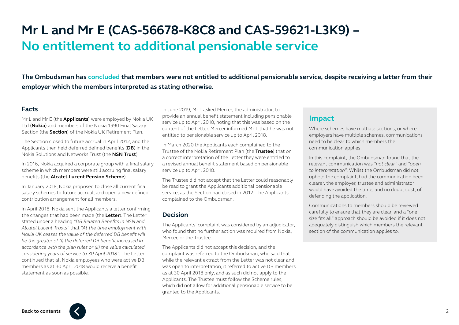# <span id="page-3-0"></span>**Mr L and Mr E (CAS-56678-K8C8 and CAS-59621-L3K9) – No entitlement to additional pensionable service**

**The Ombudsman has [concluded](https://www.pensions-ombudsman.org.uk/sites/default/files/decisions/CAS-56678-K8C8%20%26%20CAS-59621-L3K9.pdf) that members were not entitled to additional pensionable service, despite receiving a letter from their employer which the members interpreted as stating otherwise.** 

#### **Facts**

Mr L and Mr E (the **Applicants**) were employed by Nokia UK Ltd (**Nokia**) and members of the Nokia 1990 Final Salary Section (the **Section**) of the Nokia UK Retirement Plan.

The Section closed to future accrual in April 2012, and the Applicants then held deferred defined benefits (**DB**) in the Nokia Solutions and Networks Trust (the **NSN Trust**).

In 2016, Nokia acquired a corporate group with a final salary scheme in which members were still accruing final salary benefits (the **Alcatel-Lucent Pension Scheme**).

In January 2018, Nokia proposed to close all current final salary schemes to future accrual, and open a new defined contribution arrangement for all members.

In April 2018, Nokia sent the Applicants a letter confirming the changes that had been made (the **Letter**). The Letter stated under a heading *"DB Related Benefits in NSN and Alcatel Lucent Trusts"* that *"At the time employment with Nokia UK ceases the value of the deferred DB benefit will be the greater of (i) the deferred DB benefit increased in accordance with the plan rules or (ii) the value calculated considering years of service to 30 April 2018"*. The Letter continued that all Nokia employees who were active DB members as at 30 April 2018 would receive a benefit statement as soon as possible.

In June 2019, Mr L asked Mercer, the administrator, to provide an annual benefit statement including pensionable service up to April 2018, noting that this was based on the content of the Letter. Mercer informed Mr L that he was not entitled to pensionable service up to April 2018.

In March 2020 the Applicants each complained to the Trustee of the Nokia Retirement Plan (the **Trustee**) that on a correct interpretation of the Letter they were entitled to a revised annual benefit statement based on pensionable service up to April 2018.

The Trustee did not accept that the Letter could reasonably be read to grant the Applicants additional pensionable service, as the Section had closed in 2012. The Applicants complained to the Ombudsman.

#### **Decision**

The Applicants' complaint was considered by an adjudicator, who found that no further action was required from Nokia, Mercer, or the Trustee.

The Applicants did not accept this decision, and the complaint was referred to the Ombudsman, who said that while the relevant extract from the Letter was not clear and was open to interpretation, it referred to active DB members as at 30 April 2018 only, and as such did not apply to the Applicants. The Trustee must follow the Scheme rules, which did not allow for additional pensionable service to be granted to the Applicants.

### **Impact**

Where schemes have multiple sections, or where employers have multiple schemes, communications need to be clear to which members the communication applies.

In this complaint, the Ombudsman found that the relevant communication was *"not clear"* and *"open to interpretation"*. Whilst the Ombudsman did not uphold the complaint, had the communication been clearer, the employer, trustee and administrator would have avoided the time, and no doubt cost, of defending the application.

Communications to members should be reviewed carefully to ensure that they are clear, and a "one size fits all" approach should be avoided if it does not adequately distinguish which members the relevant section of the communication applies to.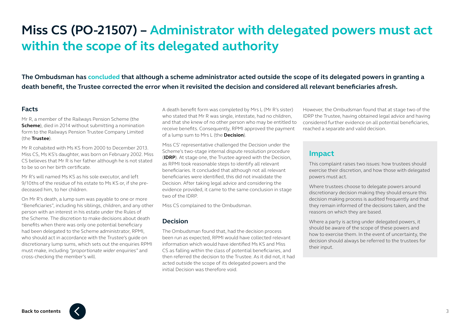# <span id="page-4-0"></span>**Miss CS (PO-21507) – Administrator with delegated powers must act within the scope of its delegated authority**

**The Ombudsman has [concluded](https://www.pensions-ombudsman.org.uk/sites/default/files/decisions/PO-21507.pdf) that although a scheme administrator acted outside the scope of its delegated powers in granting a death benefit, the Trustee corrected the error when it revisited the decision and considered all relevant beneficiaries afresh.**

#### **Facts**

Mr R, a member of the Railways Pension Scheme (the **Scheme**), died in 2014 without submitting a nomination form to the Railways Pension Trustee Company Limited (the **Trustee**).

Mr R cohabited with Ms KS from 2000 to December 2013. Miss CS, Ms KS's daughter, was born on February 2002. Miss CS believes that Mr R is her father although he is not stated to be so on her birth certificate.

Mr R's will named Ms KS as his sole executor, and left 9/10ths of the residue of his estate to Ms KS or, if she predeceased him, to her children.

On Mr R's death, a lump sum was payable to one or more "Beneficiaries", including his siblings, children, and any other person with an interest in his estate under the Rules of the Scheme. The discretion to make decisions about death benefits when there was only one potential beneficiary had been delegated to the Scheme administrator, RPMI, who should act in accordance with the Trustee's guide on discretionary lump sums, which sets out the enquiries RPMI must make, including *"proportionate wider enquiries"* and cross-checking the member's will.

A death benefit form was completed by Mrs L (Mr R's sister) who stated that Mr R was single, intestate, had no children, and that she knew of no other person who may be entitled to receive benefits. Consequently, RPMI approved the payment of a lump sum to Mrs L (the **Decision**).

Miss CS' representative challenged the Decision under the Scheme's two-stage internal dispute resolution procedure (**IDRP**). At stage one, the Trustee agreed with the Decision, as RPMI took reasonable steps to identify all relevant beneficiaries. It concluded that although not all relevant beneficiaries were identified, this did not invalidate the Decision. After taking legal advice and considering the evidence provided, it came to the same conclusion in stage two of the IDRP.

Miss CS complained to the Ombudsman.

#### **Decision**

The Ombudsman found that, had the decision process been run as expected, RPMI would have collected relevant information which would have identified Ms KS and Miss CS as falling within the class of potential beneficiaries, and then referred the decision to the Trustee. As it did not, it had acted outside the scope of its delegated powers and the initial Decision was therefore void.

However, the Ombudsman found that at stage two of the IDRP the Trustee, having obtained legal advice and having considered further evidence on all potential beneficiaries, reached a separate and valid decision.

### **Impact**

This complaint raises two issues: how trustees should exercise their discretion, and how those with delegated powers must act.

Where trustees choose to delegate powers around discretionary decision making they should ensure this decision making process is audited frequently and that they remain informed of the decisions taken, and the reasons on which they are based.

Where a party is acting under delegated powers, it should be aware of the scope of these powers and how to exercise them. In the event of uncertainty, the decision should always be referred to the trustees for their input.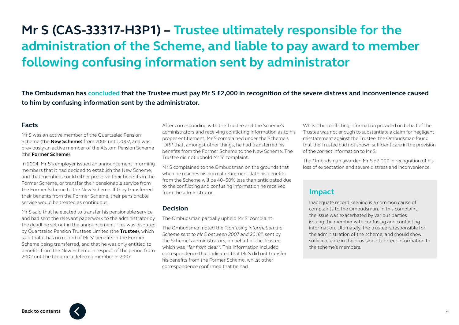# <span id="page-5-0"></span>**Mr S (CAS-33317-H3P1) – Trustee ultimately responsible for the administration of the Scheme, and liable to pay award to member following confusing information sent by administrator**

**The Ombudsman has [concluded](https://www.pensions-ombudsman.org.uk/sites/default/files/decisions/CAS-33317-H3P1.pdf) that the Trustee must pay Mr S £2,000 in recognition of the severe distress and inconvenience caused to him by confusing information sent by the administrator.** 

#### **Facts**

Mr S was an active member of the Quartzelec Pension Scheme (the **New Scheme**) from 2002 until 2007, and was previously an active member of the Alstom Pension Scheme (the **Former Scheme**).

In 2004, Mr S's employer issued an announcement informing members that it had decided to establish the New Scheme, and that members could either preserve their benefits in the Former Scheme, or transfer their pensionable service from the Former Scheme to the New Scheme. If they transferred their benefits from the Former Scheme, their pensionable service would be treated as continuous.

Mr S said that he elected to transfer his pensionable service, and had sent the relevant paperwork to the administrator by the deadline set out in the announcement. This was disputed by Quartzelec Pension Trustees Limited (the **Trustee**), which said that it has no record of Mr S' benefits in the Former Scheme being transferred, and that he was only entitled to benefits from the New Scheme in respect of the period from 2002 until he became a deferred member in 2007.

After corresponding with the Trustee and the Scheme's administrators and receiving conflicting information as to his proper entitlement, Mr S complained under the Scheme's IDRP that, amongst other things, he had transferred his benefits from the Former Scheme to the New Scheme. The Trustee did not uphold Mr S' complaint.

Mr S complained to the Ombudsman on the grounds that when he reaches his normal retirement date his benefits from the Scheme will be 40–50% less than anticipated due to the conflicting and confusing information he received from the administrator.

#### **Decision**

The Ombudsman partially upheld Mr S' complaint.

The Ombudsman noted the *"confusing information the Scheme sent to Mr S between 2007 and 2018"*, sent by the Scheme's administrators, on behalf of the Trustee, which was *"far from clear"*. This information included correspondence that indicated that Mr S did not transfer his benefits from the Former Scheme, whilst other correspondence confirmed that he had.

Whilst the conflicting information provided on behalf of the Trustee was not enough to substantiate a claim for negligent misstatement against the Trustee, the Ombudsman found that the Trustee had not shown sufficient care in the provision of the correct information to Mr S.

The Ombudsman awarded Mr S £2,000 in recognition of his loss of expectation and severe distress and inconvenience.

### **Impact**

Inadequate record keeping is a common cause of complaints to the Ombudsman. In this complaint, the issue was exacerbated by various parties issuing the member with confusing and conflicting information. Ultimately, the trustee is responsible for the administration of the scheme, and should show sufficient care in the provision of correct information to the scheme's members.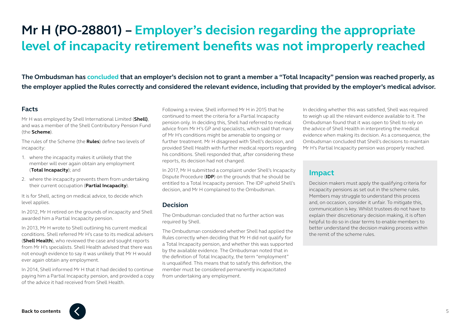# <span id="page-6-0"></span>**Mr H (PO-28801) – Employer's decision regarding the appropriate level of incapacity retirement benefits was not improperly reached**

**The Ombudsman has [concluded](https://www.pensions-ombudsman.org.uk/sites/default/files/decisions/PO-28801.pdf) that an employer's decision not to grant a member a "Total Incapacity" pension was reached properly, as the employer applied the Rules correctly and considered the relevant evidence, including that provided by the employer's medical advisor.** 

#### **Facts**

Mr H was employed by Shell International Limited (**Shell)**, and was a member of the Shell Contributory Pension Fund (the **Scheme**).

The rules of the Scheme (the **Rules**) define two levels of incapacity:

- 1. where the incapacity makes it unlikely that the member will ever again obtain any employment (**Total Incapacity**); and
- 2. where the incapacity prevents them from undertaking their current occupation (**Partial Incapacity**).

It is for Shell, acting on medical advice, to decide which level applies.

In 2012, Mr H retired on the grounds of incapacity and Shell awarded him a Partial Incapacity pension.

In 2013, Mr H wrote to Shell outlining his current medical conditions. Shell referred Mr H's case to its medical advisers (**Shell Health**), who reviewed the case and sought reports from Mr H's specialists. Shell Health advised that there was not enough evidence to say it was unlikely that Mr H would ever again obtain any employment.

In 2014, Shell informed Mr H that it had decided to continue paying him a Partial Incapacity pension, and provided a copy of the advice it had received from Shell Health.

Following a review, Shell informed Mr H in 2015 that he continued to meet the criteria for a Partial Incapacity pension only. In deciding this, Shell had referred to medical advice from Mr H's GP and specialists, which said that many of Mr H's conditions might be amenable to ongoing or further treatment. Mr H disagreed with Shell's decision, and provided Shell Health with further medical reports regarding his conditions. Shell responded that, after considering these reports, its decision had not changed.

In 2017, Mr H submitted a complaint under Shell's Incapacity Dispute Procedure (**IDP**) on the grounds that he should be entitled to a Total Incapacity pension. The IDP upheld Shell's decision, and Mr H complained to the Ombudsman.

#### **Decision**

The Ombudsman concluded that no further action was required by Shell.

The Ombudsman considered whether Shell had applied the Rules correctly when deciding that Mr H did not qualify for a Total Incapacity pension, and whether this was supported by the available evidence. The Ombudsman noted that in the definition of Total Incapacity, the term "employment" is unqualified. This means that to satisfy this definition, the member must be considered permanently incapacitated from undertaking any employment.

In deciding whether this was satisfied, Shell was required to weigh up all the relevant evidence available to it. The Ombudsman found that it was open to Shell to rely on the advice of Shell Health in interpreting the medical evidence when making its decision. As a consequence, the Ombudsman concluded that Shell's decisions to maintain Mr H's Partial Incapacity pension was properly reached.

### **Impact**

Decision makers must apply the qualifying criteria for incapacity pensions as set out in the scheme rules. Members may struggle to understand this process and, on occasion, consider it unfair. To mitigate this, communication is key. Whilst trustees do not have to explain their discretionary decision making, it is often helpful to do so in clear terms to enable members to better understand the decision making process within the remit of the scheme rules.

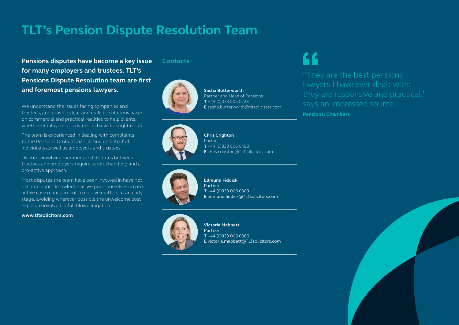## **TLT's Pension Dispute Resolution Team**

**Pensions disputes have become a key issue for many employers and trustees. TLT's Pensions Dispute Resolution team are first and foremost pensions lawyers.**

We understand the issues facing companies and trustees, and provide clear and realistic solutions based on commercial and practical realities to help clients, whether employers or trustees, achieve the right result.

The team is experienced in dealing with complaints to the Pensions Ombudsman, acting on behalf of individuals as well as employers and trustees.

Disputes involving members and disputes between trustees and employers require careful handling and a pro-active approach.

Most disputes the team have been involved in have not become public knowledge as we pride ourselves on proactive case management to resolve matters at an early stage, avoiding wherever possible the unwelcome cost exposure involved in full blown litigation.

#### **www.tltsolicitors.com**

#### **Contacts**



**Sasha Butterworth**  Partner and Head of Pensions **T** +44 (0)333 006 0228 **E** sasha.butterworth@tltsolicitors.com

**Chris Crighton**  Partner **T** +44 (0)333 006 0498 **E** chris.crighton@TLTsolicitors.com



**Edmund Fiddick** Partner **T** +44 (0)333 006 0309 **E** edmund.fiddick@TLTsolicitors.com



**Victoria Mabbett** Partner **T** +44 (0)333 006 0386 **E** victoria.mabbett@TLTsolicitors.com

**Pensions, Chambers**